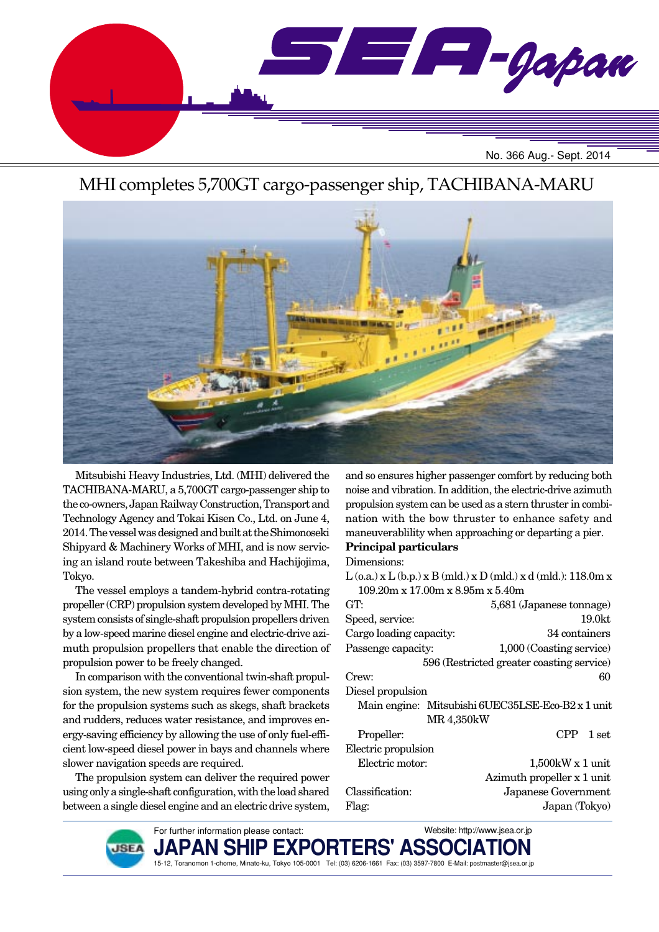

## MHI completes 5,700GT cargo-passenger ship, TACHIBANA-MARU



Mitsubishi Heavy Industries, Ltd. (MHI) delivered the TACHIBANA-MARU, a 5,700GT cargo-passenger ship to the co-owners, Japan Railway Construction, Transport and Technology Agency and Tokai Kisen Co., Ltd. on June 4, 2014. The vessel was designed and built at the Shimonoseki Shipyard & Machinery Works of MHI, and is now servicing an island route between Takeshiba and Hachijojima, Tokyo.

The vessel employs a tandem-hybrid contra-rotating propeller (CRP) propulsion system developed by MHI. The system consists of single-shaft propulsion propellers driven by a low-speed marine diesel engine and electric-drive azimuth propulsion propellers that enable the direction of propulsion power to be freely changed.

In comparison with the conventional twin-shaft propulsion system, the new system requires fewer components for the propulsion systems such as skegs, shaft brackets and rudders, reduces water resistance, and improves energy-saving efficiency by allowing the use of only fuel-efficient low-speed diesel power in bays and channels where slower navigation speeds are required.

The propulsion system can deliver the required power using only a single-shaft configuration, with the load shared between a single diesel engine and an electric drive system,

and so ensures higher passenger comfort by reducing both noise and vibration. In addition, the electric-drive azimuth propulsion system can be used as a stern thruster in combination with the bow thruster to enhance safety and maneuverablility when approaching or departing a pier. **Principal particulars**

Dimensions:

| $L$ (o.a.) x $L$ (b.p.) x $B$ (mld.) x $D$ (mld.) x d (mld.): 118.0m x |                                           |  |
|------------------------------------------------------------------------|-------------------------------------------|--|
| $109.20m \times 17.00m \times 8.95m \times 5.40m$                      |                                           |  |
| GT.                                                                    | 5,681 (Japanese tonnage)                  |  |
| Speed, service:                                                        | 19.0 <sub>kt</sub>                        |  |
| Cargo loading capacity:                                                | 34 containers                             |  |
| Passenge capacity:                                                     | 1,000 (Coasting service)                  |  |
|                                                                        | 596 (Restricted greater coasting service) |  |
| Crew:                                                                  | 60                                        |  |
| Diesel propulsion                                                      |                                           |  |
| Main engine: Mitsubishi 6UEC35LSE-Eco-B2 x 1 unit                      |                                           |  |
| MR 4,350kW                                                             |                                           |  |
| Propeller:                                                             | CPP.<br>1 set                             |  |
| Electric propulsion                                                    |                                           |  |
| Electric motor:                                                        | $1,500$ kW x 1 unit                       |  |
|                                                                        | Azimuth propeller x 1 unit                |  |
| Classification:                                                        | Japanese Government                       |  |
| Flag:                                                                  | Japan (Tokyo)                             |  |
|                                                                        |                                           |  |

Website: http://www.jsea.or.jp



PAN SH 15-12, Toranomon 1-chome, Minato-ku, Tokyo 105-0001 Tel: (03) 6206-1661 Fax: (03) 3597-7800 E-Mail: postmaster@jsea.or.jp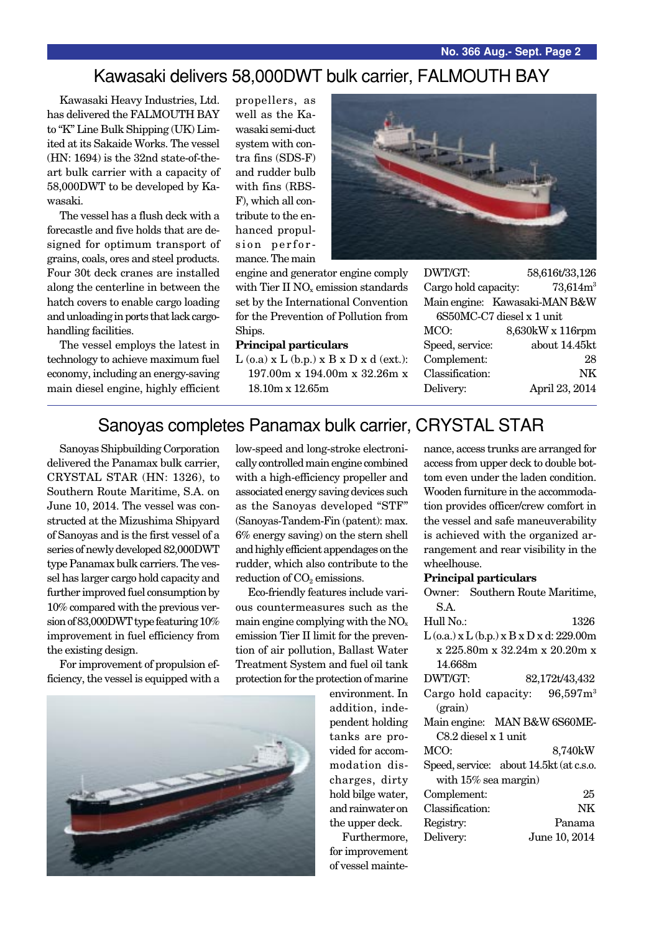#### Kawasaki delivers 58,000DWT bulk carrier, FALMOUTH BAY

Kawasaki Heavy Industries, Ltd. has delivered the FALMOUTH BAY to "K" Line Bulk Shipping (UK) Limited at its Sakaide Works. The vessel (HN: 1694) is the 32nd state-of-theart bulk carrier with a capacity of 58,000DWT to be developed by Kawasaki.

The vessel has a flush deck with a forecastle and five holds that are designed for optimum transport of grains, coals, ores and steel products. Four 30t deck cranes are installed along the centerline in between the hatch covers to enable cargo loading and unloading in ports that lack cargohandling facilities.

The vessel employs the latest in technology to achieve maximum fuel economy, including an energy-saving main diesel engine, highly efficient

propellers, as well as the Kawasaki semi-duct system with contra fins (SDS-F) and rudder bulb with fins (RBS-F), which all contribute to the enhanced propulsion performance. The main

engine and generator engine comply with Tier II  $NO<sub>x</sub>$  emission standards set by the International Convention for the Prevention of Pollution from Ships.

#### **Principal particulars**

 $L$  (o.a)  $x L$  (b.p.)  $x B x D x d$  (ext.): 197.00m x 194.00m x 32.26m x 18.10m x 12.65m



DWT/GT: 58,616t/33,126 Cargo hold capacity:  $73,614m<sup>3</sup>$ Main engine: Kawasaki-MAN B&W

6S50MC-C7 diesel x 1 unit MCO: 8,630kW x 116rpm Speed, service: about 14.45kt Complement: 28 Classification: NK Delivery: April 23, 2014

## Sanoyas completes Panamax bulk carrier, CRYSTAL STAR

Sanoyas Shipbuilding Corporation delivered the Panamax bulk carrier, CRYSTAL STAR (HN: 1326), to Southern Route Maritime, S.A. on June 10, 2014. The vessel was constructed at the Mizushima Shipyard of Sanoyas and is the first vessel of a series of newly developed 82,000DWT type Panamax bulk carriers. The vessel has larger cargo hold capacity and further improved fuel consumption by 10% compared with the previous version of 83,000DWT type featuring 10% improvement in fuel efficiency from the existing design.

For improvement of propulsion efficiency, the vessel is equipped with a low-speed and long-stroke electronically controlled main engine combined with a high-efficiency propeller and associated energy saving devices such as the Sanoyas developed "STF" (Sanoyas-Tandem-Fin (patent): max. 6% energy saving) on the stern shell and highly efficient appendages on the rudder, which also contribute to the reduction of  $CO<sub>2</sub>$  emissions.

Eco-friendly features include various countermeasures such as the main engine complying with the  $NO<sub>x</sub>$ emission Tier II limit for the prevention of air pollution, Ballast Water Treatment System and fuel oil tank protection for the protection of marine

environment. In addition, independent holding tanks are provided for accommodation discharges, dirty hold bilge water, and rainwater on the upper deck.

Furthermore, for improvement of vessel maintenance, access trunks are arranged for access from upper deck to double bottom even under the laden condition. Wooden furniture in the accommodation provides officer/crew comfort in the vessel and safe maneuverability is achieved with the organized arrangement and rear visibility in the wheelhouse.

#### **Principal particulars**

| Owner: Southern Route Maritime,                  |  |  |
|--------------------------------------------------|--|--|
| S.A.                                             |  |  |
| Hull No.:<br>1326                                |  |  |
| $L$ (o.a.) x $L$ (b.p.) x $B$ x $D$ x d: 229.00m |  |  |
| x 225.80m x 32.24m x 20.20m x                    |  |  |
| 14.668m                                          |  |  |
| DWT/GT:<br>82,172t/43,432                        |  |  |
| Cargo hold capacity: $96,597m^3$                 |  |  |
| (grain)                                          |  |  |
| Main engine: MAN B&W 6S60ME-                     |  |  |
| C8.2 diesel x 1 unit                             |  |  |
| MCO:<br>8,740kW                                  |  |  |
| Speed, service: about 14.5kt (at c.s.o.          |  |  |
| with $15\%$ sea margin)                          |  |  |
| Complement:<br>25                                |  |  |
| Classification:<br>NK                            |  |  |
| Panama<br>Registry:                              |  |  |
| Delivery:<br>June 10, 2014                       |  |  |

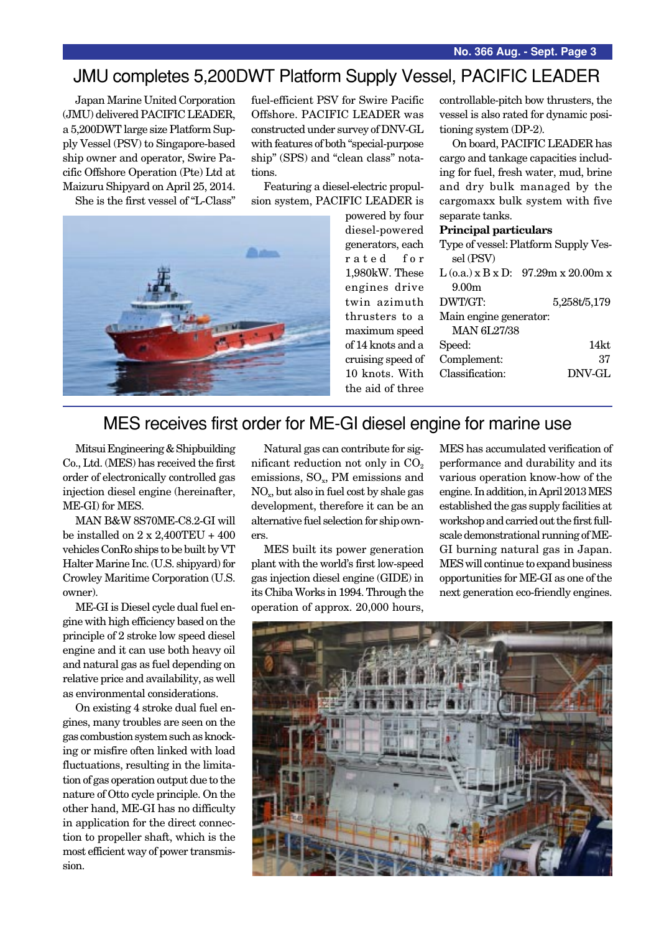## JMU completes 5,200DWT Platform Supply Vessel, PACIFIC LEADER

Japan Marine United Corporation (JMU) delivered PACIFIC LEADER, a 5,200DWT large size Platform Supply Vessel (PSV) to Singapore-based ship owner and operator, Swire Pacific Offshore Operation (Pte) Ltd at Maizuru Shipyard on April 25, 2014.

She is the first vessel of "L-Class"

fuel-efficient PSV for Swire Pacific Offshore. PACIFIC LEADER was constructed under survey of DNV-GL with features of both "special-purpose ship" (SPS) and "clean class" notations.

Featuring a diesel-electric propulsion system, PACIFIC LEADER is



powered by four diesel-powered generators, each rated for 1,980kW. These engines drive twin azimuth thrusters to a maximum speed of 14 knots and a cruising speed of 10 knots. With the aid of three

controllable-pitch bow thrusters, the vessel is also rated for dynamic positioning system (DP-2).

On board, PACIFIC LEADER has cargo and tankage capacities including for fuel, fresh water, mud, brine and dry bulk managed by the cargomaxx bulk system with five separate tanks.

#### **Principal particulars**

|                        | Type of vessel: Platform Supply Ves-  |  |
|------------------------|---------------------------------------|--|
| sel (PSV)              |                                       |  |
|                        | $L$ (o.a.) x B x D: 97.29m x 20.00m x |  |
| 9.00 <sub>m</sub>      |                                       |  |
| DWT/GT:                | 5,258t/5,179                          |  |
| Main engine generator: |                                       |  |
| <b>MAN 6L27/38</b>     |                                       |  |
| Speed:                 | 14kt                                  |  |
| Complement:            | 37                                    |  |
| Classification:        | DNV-GL                                |  |
|                        |                                       |  |

## MES receives first order for ME-GI diesel engine for marine use

Mitsui Engineering & Shipbuilding Co., Ltd. (MES) has received the first order of electronically controlled gas injection diesel engine (hereinafter, ME-GI) for MES.

MAN B&W 8S70ME-C8.2-GI will be installed on  $2 \times 2.400 \text{TEU} + 400$ vehicles ConRo ships to be built by VT Halter Marine Inc. (U.S. shipyard) for Crowley Maritime Corporation (U.S. owner).

ME-GI is Diesel cycle dual fuel engine with high efficiency based on the principle of 2 stroke low speed diesel engine and it can use both heavy oil and natural gas as fuel depending on relative price and availability, as well as environmental considerations.

On existing 4 stroke dual fuel engines, many troubles are seen on the gas combustion system such as knocking or misfire often linked with load fluctuations, resulting in the limitation of gas operation output due to the nature of Otto cycle principle. On the other hand, ME-GI has no difficulty in application for the direct connection to propeller shaft, which is the most efficient way of power transmission.

Natural gas can contribute for significant reduction not only in  $CO<sub>2</sub>$ emissions,  $SO<sub>x</sub>$ , PM emissions and NOx, but also in fuel cost by shale gas development, therefore it can be an alternative fuel selection for ship owners.

MES built its power generation plant with the world's first low-speed gas injection diesel engine (GIDE) in its Chiba Works in 1994. Through the operation of approx. 20,000 hours,

MES has accumulated verification of performance and durability and its various operation know-how of the engine. In addition, in April 2013 MES established the gas supply facilities at workshop and carried out the first fullscale demonstrational running of ME-GI burning natural gas in Japan. MES will continue to expand business opportunities for ME-GI as one of the next generation eco-friendly engines.

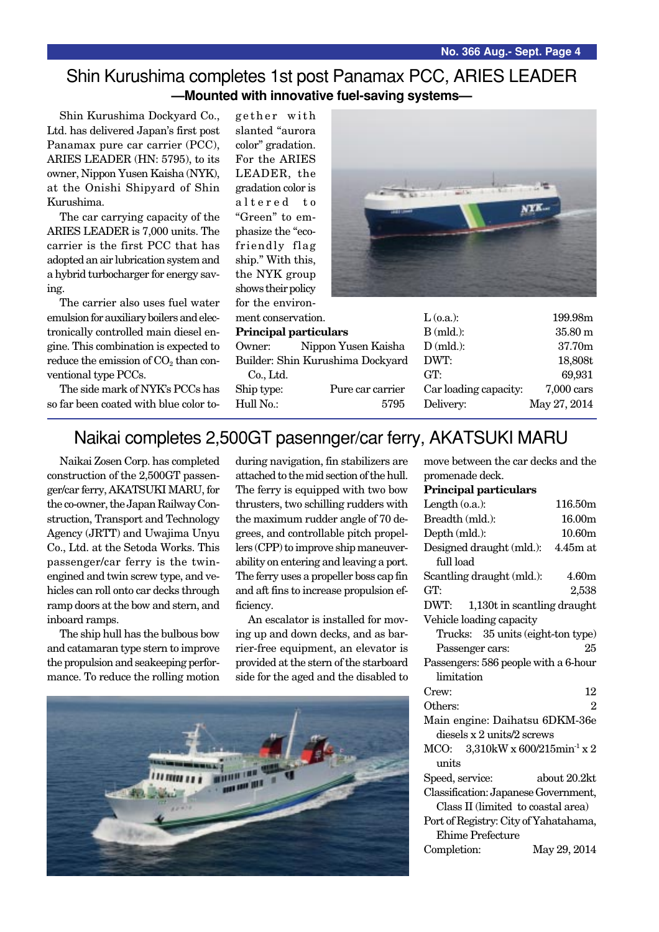#### Shin Kurushima completes 1st post Panamax PCC, ARIES LEADER **—Mounted with innovative fuel-saving systems—**

Shin Kurushima Dockyard Co., Ltd. has delivered Japan's first post Panamax pure car carrier (PCC), ARIES LEADER (HN: 5795), to its owner, Nippon Yusen Kaisha (NYK), at the Onishi Shipyard of Shin Kurushima.

The car carrying capacity of the ARIES LEADER is 7,000 units. The carrier is the first PCC that has adopted an air lubrication system and a hybrid turbocharger for energy saving.

The carrier also uses fuel water emulsion for auxiliary boilers and electronically controlled main diesel engine. This combination is expected to reduce the emission of  $CO<sub>2</sub>$  than conventional type PCCs.

The side mark of NYK's PCCs has so far been coated with blue color together with slanted "aurora color" gradation. For the ARIES LEADER, the gradation color is altered to "Green" to emphasize the "ecofriendly flag ship." With this, the NYK group shows their policy for the environment conservation.

#### **Principal particulars**

Owner: Nippon Yus Builder: Shin Kurushim Co., Ltd.

Ship type: Pure Hull No.:



|             | $L$ (o.a.):           | 199.98m      |
|-------------|-----------------------|--------------|
|             | $B$ (mld.):           | 35.80 m      |
| sen Kaisha  | $D$ (mld.):           | 37.70m       |
| a Dockyard  | DWT:                  | 18,808t      |
|             | GT:                   | 69,931       |
| car carrier | Car loading capacity: | $7,000$ cars |
| 5795        | Delivery:             | May 27, 2014 |

# Naikai completes 2,500GT pasennger/car ferry, AKATSUKI MARU

Naikai Zosen Corp. has completed construction of the 2,500GT passenger/car ferry, AKATSUKI MARU, for the co-owner, the Japan Railway Construction, Transport and Technology Agency (JRTT) and Uwajima Unyu Co., Ltd. at the Setoda Works. This passenger/car ferry is the twinengined and twin screw type, and vehicles can roll onto car decks through ramp doors at the bow and stern, and inboard ramps.

The ship hull has the bulbous bow and catamaran type stern to improve the propulsion and seakeeping performance. To reduce the rolling motion during navigation, fin stabilizers are attached to the mid section of the hull. The ferry is equipped with two bow thrusters, two schilling rudders with the maximum rudder angle of 70 degrees, and controllable pitch propellers (CPP) to improve ship maneuverability on entering and leaving a port. The ferry uses a propeller boss cap fin and aft fins to increase propulsion efficiency.

An escalator is installed for moving up and down decks, and as barrier-free equipment, an elevator is provided at the stern of the starboard side for the aged and the disabled to



move between the car decks and the promenade deck.

**Principal particulars**

| Length $(o.a.):$                               | 116.50m        |  |
|------------------------------------------------|----------------|--|
| Breadth (mld.):                                | 16.00m         |  |
| Depth (mld.):                                  | 10.60m         |  |
| Designed draught (mld.):                       | $4.45m$ at     |  |
| full load                                      |                |  |
| Scantling draught (mld.):                      | 4.60m          |  |
| GT:                                            | 2,538          |  |
| DWT: 1,130t in scantling draught               |                |  |
| Vehicle loading capacity                       |                |  |
| Trucks: 35 units (eight-ton type)              |                |  |
| Passenger cars:                                | 25             |  |
| Passengers: 586 people with a 6-hour           |                |  |
| limitation                                     |                |  |
| Crew:                                          | 12             |  |
| Others:                                        | $\overline{2}$ |  |
| Main engine: Daihatsu 6DKM-36e                 |                |  |
| diesels x 2 units/2 screws                     |                |  |
| MCO: $3,310$ kW x 600/215min <sup>-1</sup> x 2 |                |  |
| units                                          |                |  |
| Speed, service:                                | about 20.2kt   |  |
| Classification: Japanese Government,           |                |  |
| Class II (limited to coastal area)             |                |  |
| Port of Registry: City of Yahatahama,          |                |  |
| <b>Ehime Prefecture</b>                        |                |  |
| Completion:                                    | May 29, 2014   |  |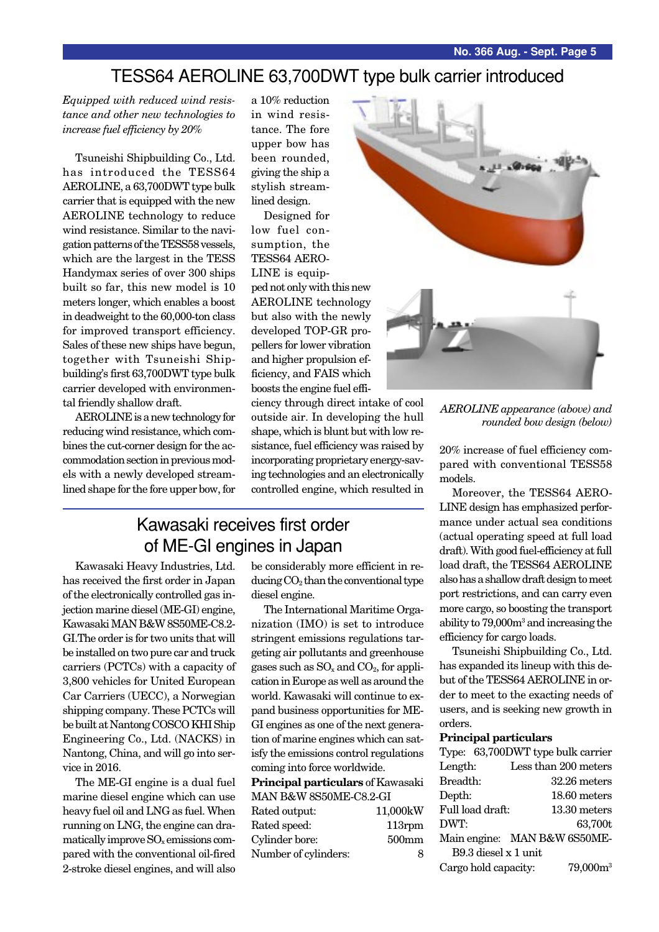### TESS64 AEROLINE 63,700DWT type bulk carrier introduced

*Equipped with reduced wind resistance and other new technologies to increase fuel efficiency by 20%*

Tsuneishi Shipbuilding Co., Ltd. has introduced the TESS64 AEROLINE, a 63,700DWT type bulk carrier that is equipped with the new AEROLINE technology to reduce wind resistance. Similar to the navigation patterns of the TESS58 vessels, which are the largest in the TESS Handymax series of over 300 ships built so far, this new model is 10 meters longer, which enables a boost in deadweight to the 60,000-ton class for improved transport efficiency. Sales of these new ships have begun, together with Tsuneishi Shipbuilding's first 63,700DWT type bulk carrier developed with environmental friendly shallow draft.

AEROLINE is a new technology for reducing wind resistance, which combines the cut-corner design for the accommodation section in previous models with a newly developed streamlined shape for the fore upper bow, for a 10% reduction in wind resistance. The fore upper bow has been rounded, giving the ship a stylish streamlined design.

Designed for low fuel consumption, the TESS64 AERO-LINE is equip-

ped not only with this new AEROLINE technology but also with the newly developed TOP-GR propellers for lower vibration and higher propulsion efficiency, and FAIS which boosts the engine fuel effi-

ciency through direct intake of cool outside air. In developing the hull shape, which is blunt but with low resistance, fuel efficiency was raised by incorporating proprietary energy-saving technologies and an electronically controlled engine, which resulted in

## Kawasaki receives first order of ME-GI engines in Japan

Kawasaki Heavy Industries, Ltd. has received the first order in Japan of the electronically controlled gas injection marine diesel (ME-GI) engine, Kawasaki MAN B&W 8S50ME-C8.2- GI.The order is for two units that will be installed on two pure car and truck carriers (PCTCs) with a capacity of 3,800 vehicles for United European Car Carriers (UECC), a Norwegian shipping company. These PCTCs will be built at Nantong COSCO KHI Ship Engineering Co., Ltd. (NACKS) in Nantong, China, and will go into service in 2016.

The ME-GI engine is a dual fuel marine diesel engine which can use heavy fuel oil and LNG as fuel. When running on LNG, the engine can dramatically improve  $SO_x$  emissions compared with the conventional oil-fired 2-stroke diesel engines, and will also

be considerably more efficient in reducing  $CO<sub>2</sub>$  than the conventional type diesel engine.

The International Maritime Organization (IMO) is set to introduce stringent emissions regulations targeting air pollutants and greenhouse gases such as  $SO_x$  and  $CO_2$ , for application in Europe as well as around the world. Kawasaki will continue to expand business opportunities for ME-GI engines as one of the next generation of marine engines which can satisfy the emissions control regulations coming into force worldwide.

**Principal particulars** of Kawasaki MAN BEW 9S50ME-C8.3 CI

| MIAIN DOCW ODOUMIL-UO.Z-UI |                   |
|----------------------------|-------------------|
| Rated output:              | 11,000kW          |
| Rated speed:               | $113$ rpm         |
| Cylinder bore:             | 500 <sub>mm</sub> |
| Number of cylinders:       | 8                 |
|                            |                   |





*AEROLINE appearance (above) and rounded bow design (below)*

20% increase of fuel efficiency compared with conventional TESS58 models.

Moreover, the TESS64 AERO-LINE design has emphasized performance under actual sea conditions (actual operating speed at full load draft). With good fuel-efficiency at full load draft, the TESS64 AEROLINE also has a shallow draft design to meet port restrictions, and can carry even more cargo, so boosting the transport ability to 79,000m3 and increasing the efficiency for cargo loads.

Tsuneishi Shipbuilding Co., Ltd. has expanded its lineup with this debut of the TESS64 AEROLINE in order to meet to the exacting needs of users, and is seeking new growth in orders.

#### **Principal particulars**

|                      | Type: 63,700DWT type bulk carrier |
|----------------------|-----------------------------------|
| Length:              | Less than 200 meters              |
| Breadth:             | $32.26$ meters                    |
| Depth:               | 18.60 meters                      |
| Full load draft:     | 13.30 meters                      |
| DWT:                 | 63,700t                           |
|                      | Main engine: MAN B&W 6S50ME-      |
| B9.3 diesel x 1 unit |                                   |
| Cargo hold capacity: | $79,000m^3$                       |